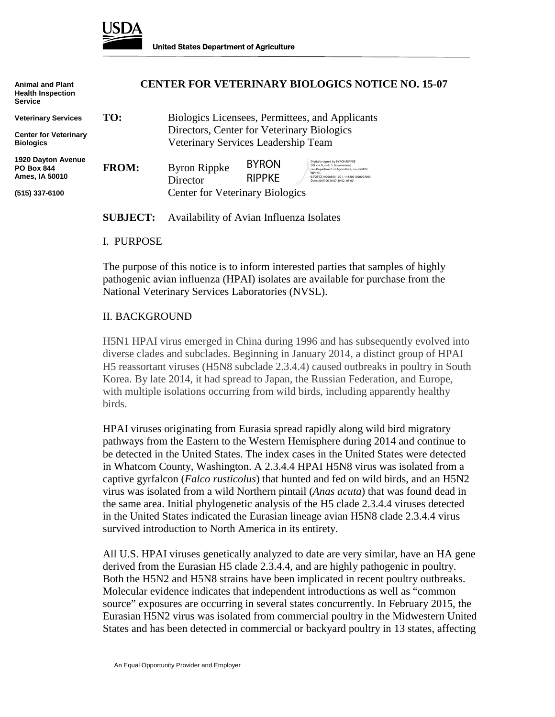

| <b>Animal and Plant</b><br><b>Health Inspection</b><br><b>Service</b> | <b>CENTER FOR VETERINARY BIOLOGICS NOTICE NO. 15-07</b> |                                                                                               |                               |                                                                                                                                                                                                              |
|-----------------------------------------------------------------------|---------------------------------------------------------|-----------------------------------------------------------------------------------------------|-------------------------------|--------------------------------------------------------------------------------------------------------------------------------------------------------------------------------------------------------------|
| <b>Veterinary Services</b>                                            | TO:                                                     | Biologics Licensees, Permittees, and Applicants<br>Directors, Center for Veterinary Biologics |                               |                                                                                                                                                                                                              |
| <b>Center for Veterinary</b><br><b>Biologics</b>                      |                                                         |                                                                                               |                               |                                                                                                                                                                                                              |
|                                                                       | Veterinary Services Leadership Team                     |                                                                                               |                               |                                                                                                                                                                                                              |
| <b>1920 Dayton Avenue</b><br><b>PO Box 844</b><br>Ames. IA 50010      | <b>FROM:</b>                                            | <b>Byron Rippke</b><br><b>Director</b>                                                        | <b>BYRON</b><br><b>RIPPKE</b> | Digitally signed by BYRON RIPPKE<br>DN: c=US, o=U.S, Government.<br>ou=Department of Agriculture, cn=BYRON<br><b>RIPPKF</b><br>0.9.2342.19200300.100.1.1=12001000004093<br>Date: 2015.06.10 07:39:02 -05'00" |
| (515) 337-6100                                                        |                                                         | <b>Center for Veterinary Biologics</b>                                                        |                               |                                                                                                                                                                                                              |

**SUBJECT:** Availability of Avian Influenza Isolates

## I. PURPOSE

The purpose of this notice is to inform interested parties that samples of highly pathogenic avian influenza (HPAI) isolates are available for purchase from the National Veterinary Services Laboratories (NVSL).

## II. BACKGROUND

H5N1 HPAI virus emerged in China during 1996 and has subsequently evolved into diverse clades and subclades. Beginning in January 2014, a distinct group of HPAI H5 reassortant viruses (H5N8 subclade 2.3.4.4) caused outbreaks in poultry in South Korea. By late 2014, it had spread to Japan, the Russian Federation, and Europe, with multiple isolations occurring from wild birds, including apparently healthy birds.

HPAI viruses originating from Eurasia spread rapidly along wild bird migratory pathways from the Eastern to the Western Hemisphere during 2014 and continue to be detected in the United States. The index cases in the United States were detected in Whatcom County, Washington. A 2.3.4.4 HPAI H5N8 virus was isolated from a captive gyrfalcon (*Falco rusticolus*) that hunted and fed on wild birds, and an H5N2 virus was isolated from a wild Northern pintail (*Anas acuta*) that was found dead in the same area. Initial phylogenetic analysis of the H5 clade 2.3.4.4 viruses detected in the United States indicated the Eurasian lineage avian H5N8 clade 2.3.4.4 virus survived introduction to North America in its entirety.

All U.S. HPAI viruses genetically analyzed to date are very similar, have an HA gene derived from the Eurasian H5 clade 2.3.4.4, and are highly pathogenic in poultry. Both the H5N2 and H5N8 strains have been implicated in recent poultry outbreaks. Molecular evidence indicates that independent introductions as well as "common source" exposures are occurring in several states concurrently. In February 2015, the Eurasian H5N2 virus was isolated from commercial poultry in the Midwestern United States and has been detected in commercial or backyard poultry in 13 states, affecting